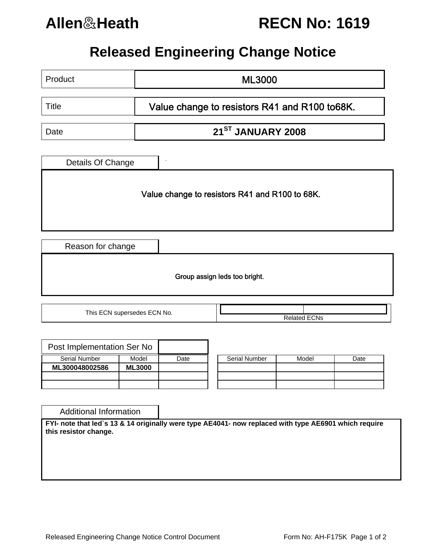

## **Allen**&**Heath RECN No: 1619**

## **Released Engineering Change Notice**

| Product                                        | <b>ML3000</b>                                 |                               |  |                     |  |  |
|------------------------------------------------|-----------------------------------------------|-------------------------------|--|---------------------|--|--|
| <b>Title</b>                                   | Value change to resistors R41 and R100 to68K. |                               |  |                     |  |  |
| Date                                           |                                               | 21 <sup>ST</sup> JANUARY 2008 |  |                     |  |  |
| Details Of Change                              |                                               |                               |  |                     |  |  |
| Value change to resistors R41 and R100 to 68K. |                                               |                               |  |                     |  |  |
| Reason for change                              |                                               |                               |  |                     |  |  |
| Group assign leds too bright.                  |                                               |                               |  |                     |  |  |
| This ECN supersedes ECN No.                    |                                               |                               |  | <b>Related ECNs</b> |  |  |

| Post Implementation Ser No |               |      |                      |
|----------------------------|---------------|------|----------------------|
| <b>Serial Number</b>       | Model         | Date | <b>Serial Number</b> |
| ML300048002586             | <b>ML3000</b> |      |                      |
|                            |               |      |                      |
|                            |               |      |                      |

| <b>Serial Number</b> | Model | Date |  |  |
|----------------------|-------|------|--|--|
|                      |       |      |  |  |
|                      |       |      |  |  |
|                      |       |      |  |  |

Additional Information

**FYI- note that led`s 13 & 14 originally were type AE4041- now replaced with type AE6901 which require this resistor change.**